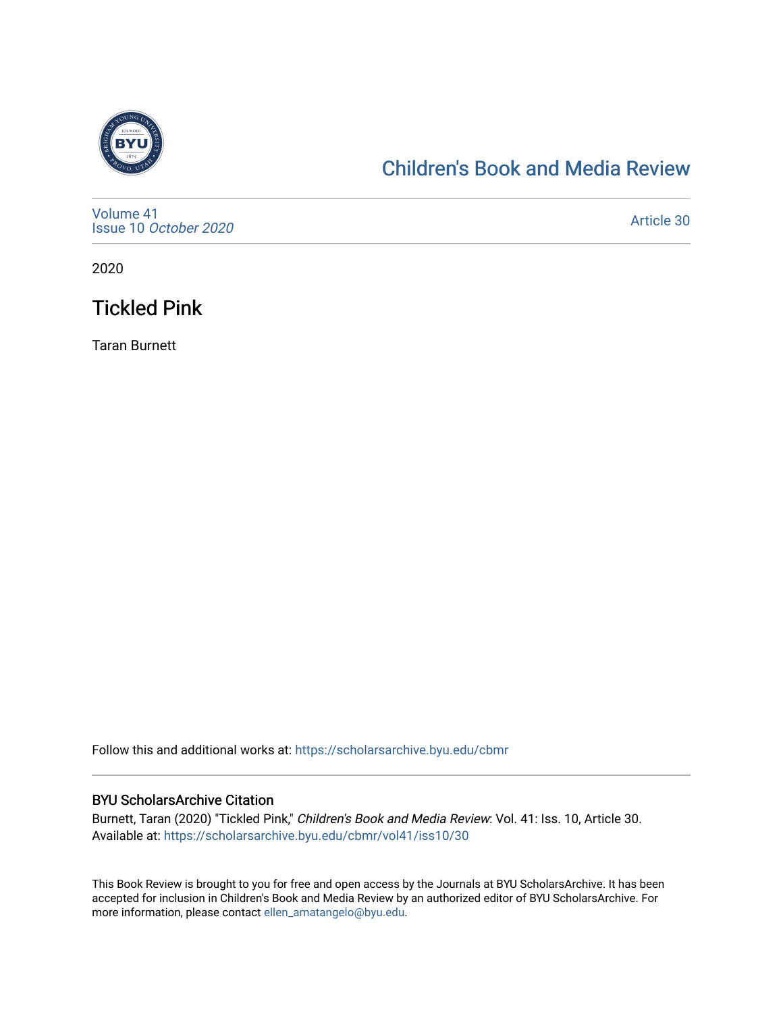

# [Children's Book and Media Review](https://scholarsarchive.byu.edu/cbmr)

[Volume 41](https://scholarsarchive.byu.edu/cbmr/vol41) Issue 10 [October 2020](https://scholarsarchive.byu.edu/cbmr/vol41/iss10)

[Article 30](https://scholarsarchive.byu.edu/cbmr/vol41/iss10/30) 

2020

# Tickled Pink

Taran Burnett

Follow this and additional works at: [https://scholarsarchive.byu.edu/cbmr](https://scholarsarchive.byu.edu/cbmr?utm_source=scholarsarchive.byu.edu%2Fcbmr%2Fvol41%2Fiss10%2F30&utm_medium=PDF&utm_campaign=PDFCoverPages) 

#### BYU ScholarsArchive Citation

Burnett, Taran (2020) "Tickled Pink," Children's Book and Media Review: Vol. 41: Iss. 10, Article 30. Available at: [https://scholarsarchive.byu.edu/cbmr/vol41/iss10/30](https://scholarsarchive.byu.edu/cbmr/vol41/iss10/30?utm_source=scholarsarchive.byu.edu%2Fcbmr%2Fvol41%2Fiss10%2F30&utm_medium=PDF&utm_campaign=PDFCoverPages) 

This Book Review is brought to you for free and open access by the Journals at BYU ScholarsArchive. It has been accepted for inclusion in Children's Book and Media Review by an authorized editor of BYU ScholarsArchive. For more information, please contact [ellen\\_amatangelo@byu.edu.](mailto:ellen_amatangelo@byu.edu)